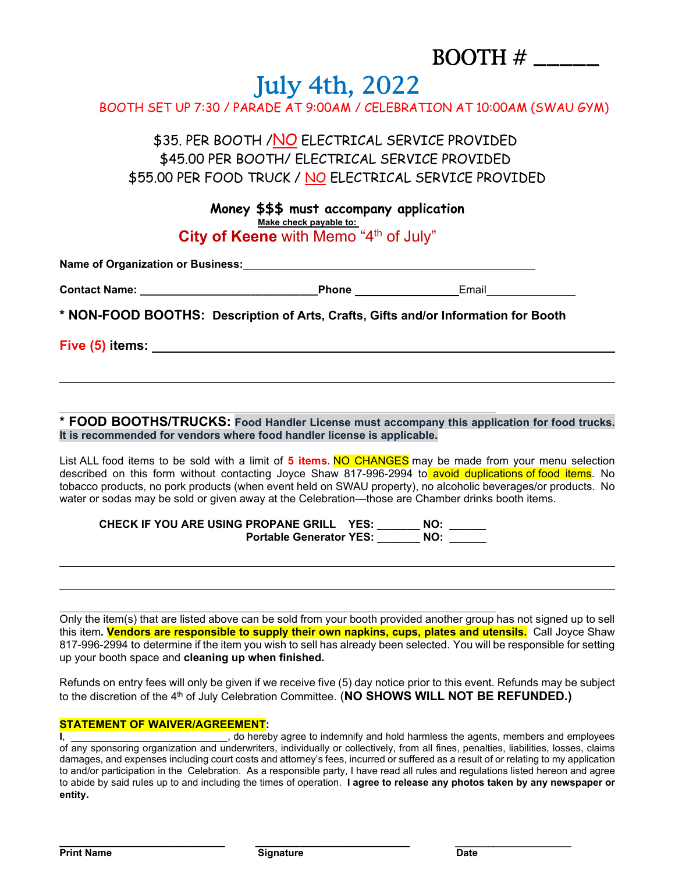## BOOTH # \_\_\_\_\_

## July 4th, 2022

BOOTH SET UP 7:30 / PARADE AT 9:00AM / CELEBRATION AT 10:00AM (SWAU GYM)

\$35. PER BOOTH / NO ELECTRICAL SERVICE PROVIDED \$45.00 PER BOOTH/ ELECTRICAL SERVICE PROVIDED \$55.00 PER FOOD TRUCK / NO ELECTRICAL SERVICE PROVIDED

> **Money \$\$\$ must accompany application Make check payable to: City of Keene** with Memo "4th of July"

| <b>Name of Organization or Business:</b> |       |       |  |
|------------------------------------------|-------|-------|--|
| <b>Contact Name:</b>                     | Phone | Email |  |

**\* NON-FOOD BOOTHS: Description of Arts, Crafts, Gifts and/or Information for Booth**

**Five (5) items:** 

**\* FOOD BOOTHS/TRUCKS: Food Handler License must accompany this application for food trucks. It is recommended for vendors where food handler license is applicable.**

List ALL food items to be sold with a limit of **5 items**. NO CHANGES may be made from your menu selection described on this form without contacting Joyce Shaw 817-996-2994 to avoid duplications of food items. No tobacco products, no pork products (when event held on SWAU property), no alcoholic beverages/or products. No water or sodas may be sold or given away at the Celebration—those are Chamber drinks booth items.

**CHECK IF YOU ARE USING PROPANE GRILL YES: \_\_\_\_\_\_\_ NO: \_\_\_\_\_\_ Portable Generator YES: \_\_\_\_\_\_\_ NO: \_\_\_\_\_\_**

Only the item(s) that are listed above can be sold from your booth provided another group has not signed up to sell this item**. Vendors are responsible to supply their own napkins, cups, plates and utensils.** Call Joyce Shaw 817-996-2994 to determine if the item you wish to sell has already been selected. You will be responsible for setting up your booth space and **cleaning up when finished.**

Refunds on entry fees will only be given if we receive five (5) day notice prior to this event. Refunds may be subject to the discretion of the 4<sup>th</sup> of July Celebration Committee. (**NO SHOWS WILL NOT BE REFUNDED.)** 

## **STATEMENT OF WAIVER/AGREEMENT:**

**I**, *I I CO <i>CO I CO I CO <i>CO* **C** *CO CO <i>CO* **C** *CO CO CO CO CO CO CO CO CO CO CO CO CO CO CO CO CO CO CO* of any sponsoring organization and underwriters, individually or collectively, from all fines, penalties, liabilities, losses, claims damages, and expenses including court costs and attorney's fees, incurred or suffered as a result of or relating to my application to and/or participation in the Celebration. As a responsible party, I have read all rules and regulations listed hereon and agree to abide by said rules up to and including the times of operation. **I agree to release any photos taken by any newspaper or entity.**